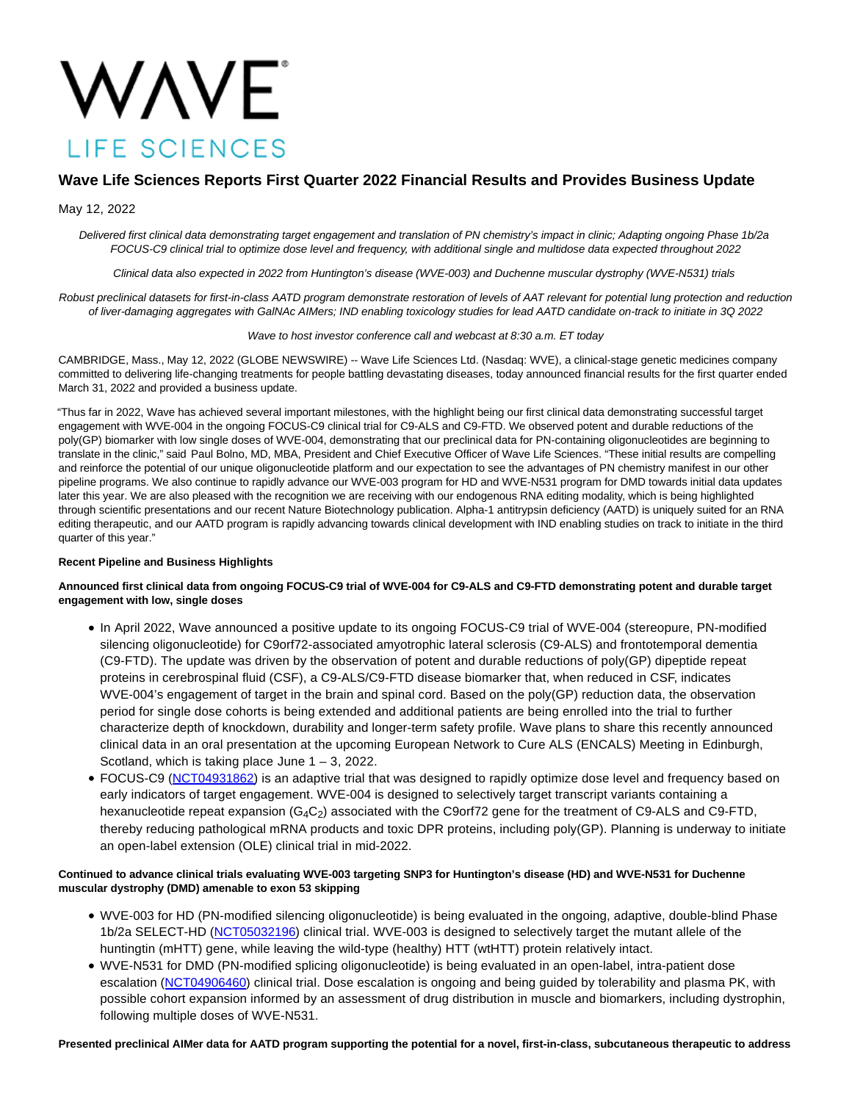# **WAVE** LIFE SCIENCES

# **Wave Life Sciences Reports First Quarter 2022 Financial Results and Provides Business Update**

# May 12, 2022

Delivered first clinical data demonstrating target engagement and translation of PN chemistry's impact in clinic; Adapting ongoing Phase 1b/2a FOCUS-C9 clinical trial to optimize dose level and frequency, with additional single and multidose data expected throughout 2022

Clinical data also expected in 2022 from Huntington's disease (WVE-003) and Duchenne muscular dystrophy (WVE-N531) trials

Robust preclinical datasets for first-in-class AATD program demonstrate restoration of levels of AAT relevant for potential lung protection and reduction of liver-damaging aggregates with GalNAc AIMers; IND enabling toxicology studies for lead AATD candidate on-track to initiate in 3Q 2022

#### Wave to host investor conference call and webcast at 8:30 a.m. ET today

CAMBRIDGE, Mass., May 12, 2022 (GLOBE NEWSWIRE) -- Wave Life Sciences Ltd. (Nasdaq: WVE), a clinical-stage genetic medicines company committed to delivering life-changing treatments for people battling devastating diseases, today announced financial results for the first quarter ended March 31, 2022 and provided a business update.

"Thus far in 2022, Wave has achieved several important milestones, with the highlight being our first clinical data demonstrating successful target engagement with WVE-004 in the ongoing FOCUS-C9 clinical trial for C9-ALS and C9-FTD. We observed potent and durable reductions of the poly(GP) biomarker with low single doses of WVE-004, demonstrating that our preclinical data for PN-containing oligonucleotides are beginning to translate in the clinic," said Paul Bolno, MD, MBA, President and Chief Executive Officer of Wave Life Sciences. "These initial results are compelling and reinforce the potential of our unique oligonucleotide platform and our expectation to see the advantages of PN chemistry manifest in our other pipeline programs. We also continue to rapidly advance our WVE-003 program for HD and WVE-N531 program for DMD towards initial data updates later this year. We are also pleased with the recognition we are receiving with our endogenous RNA editing modality, which is being highlighted through scientific presentations and our recent Nature Biotechnology publication. Alpha-1 antitrypsin deficiency (AATD) is uniquely suited for an RNA editing therapeutic, and our AATD program is rapidly advancing towards clinical development with IND enabling studies on track to initiate in the third quarter of this year."

#### **Recent Pipeline and Business Highlights**

# **Announced first clinical data from ongoing FOCUS-C9 trial of WVE-004 for C9-ALS and C9-FTD demonstrating potent and durable target engagement with low, single doses**

- In April 2022, Wave announced a positive update to its ongoing FOCUS-C9 trial of WVE-004 (stereopure, PN-modified silencing oligonucleotide) for C9orf72-associated amyotrophic lateral sclerosis (C9-ALS) and frontotemporal dementia (C9-FTD). The update was driven by the observation of potent and durable reductions of poly(GP) dipeptide repeat proteins in cerebrospinal fluid (CSF), a C9-ALS/C9-FTD disease biomarker that, when reduced in CSF, indicates WVE-004's engagement of target in the brain and spinal cord. Based on the poly(GP) reduction data, the observation period for single dose cohorts is being extended and additional patients are being enrolled into the trial to further characterize depth of knockdown, durability and longer-term safety profile. Wave plans to share this recently announced clinical data in an oral presentation at the upcoming European Network to Cure ALS (ENCALS) Meeting in Edinburgh, Scotland, which is taking place June  $1 - 3$ , 2022.
- FOCUS-C9 [\(NCT04931862\)](https://clinicaltrials.gov/ct2/show/NCT04931862?term=WVE-004&draw=2&rank=1) is an adaptive trial that was designed to rapidly optimize dose level and frequency based on early indicators of target engagement. WVE-004 is designed to selectively target transcript variants containing a hexanucleotide repeat expansion (G<sub>4</sub>C<sub>2</sub>) associated with the C9orf72 gene for the treatment of C9-ALS and C9-FTD, thereby reducing pathological mRNA products and toxic DPR proteins, including poly(GP). Planning is underway to initiate an open-label extension (OLE) clinical trial in mid-2022.

# **Continued to advance clinical trials evaluating WVE-003 targeting SNP3 for Huntington's disease (HD) and WVE-N531 for Duchenne muscular dystrophy (DMD) amenable to exon 53 skipping**

- WVE-003 for HD (PN-modified silencing oligonucleotide) is being evaluated in the ongoing, adaptive, double-blind Phase 1b/2a SELECT-HD [\(NCT05032196\)](https://clinicaltrials.gov/ct2/show/NCT05032196?term=WVE-003&draw=2&rank=1) clinical trial. WVE-003 is designed to selectively target the mutant allele of the huntingtin (mHTT) gene, while leaving the wild-type (healthy) HTT (wtHTT) protein relatively intact.
- WVE-N531 for DMD (PN-modified splicing oligonucleotide) is being evaluated in an open-label, intra-patient dose escalation [\(NCT04906460\)](https://clinicaltrials.gov/ct2/show/NCT04906460?term=WVE-N531&draw=2&rank=1) clinical trial. Dose escalation is ongoing and being guided by tolerability and plasma PK, with possible cohort expansion informed by an assessment of drug distribution in muscle and biomarkers, including dystrophin, following multiple doses of WVE-N531.

**Presented preclinical AIMer data for AATD program supporting the potential for a novel, first-in-class, subcutaneous therapeutic to address**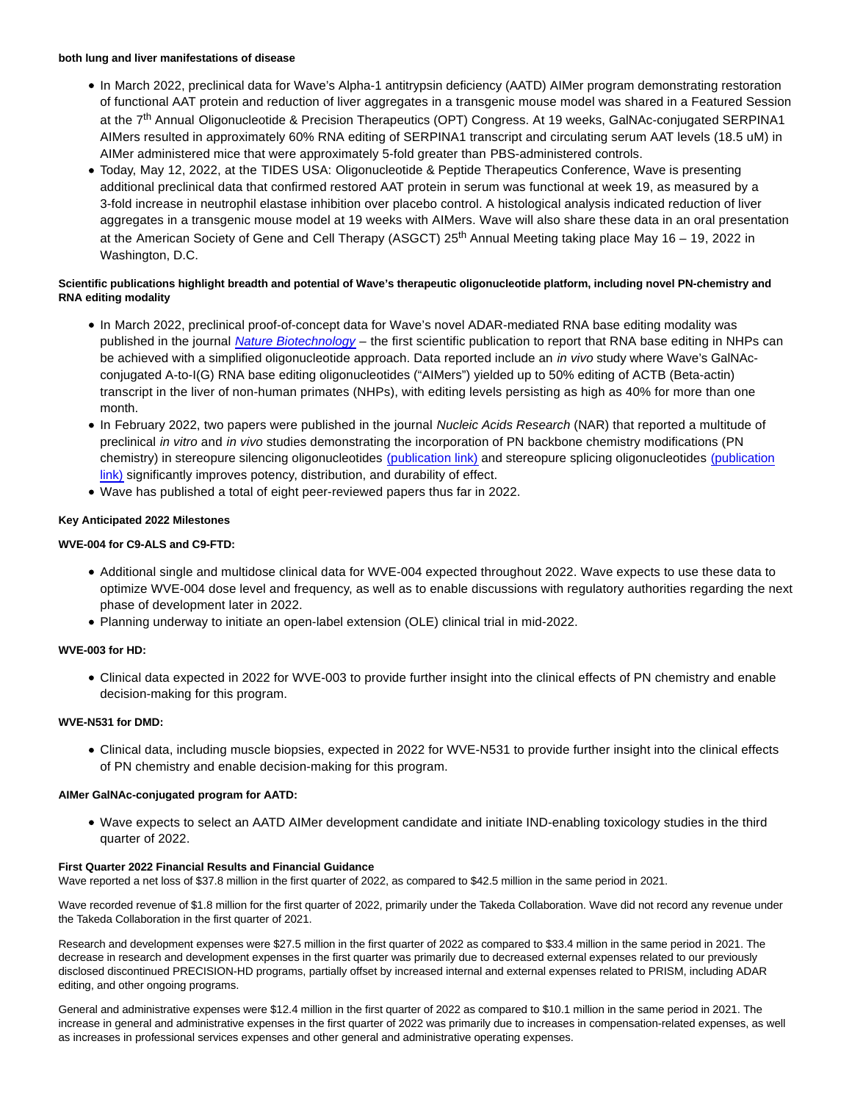#### **both lung and liver manifestations of disease**

- In March 2022, preclinical data for Wave's Alpha-1 antitrypsin deficiency (AATD) AIMer program demonstrating restoration of functional AAT protein and reduction of liver aggregates in a transgenic mouse model was shared in a Featured Session at the 7th Annual Oligonucleotide & Precision Therapeutics (OPT) Congress. At 19 weeks, GalNAc-conjugated SERPINA1 AIMers resulted in approximately 60% RNA editing of SERPINA1 transcript and circulating serum AAT levels (18.5 uM) in AIMer administered mice that were approximately 5-fold greater than PBS-administered controls.
- Today, May 12, 2022, at the TIDES USA: Oligonucleotide & Peptide Therapeutics Conference, Wave is presenting additional preclinical data that confirmed restored AAT protein in serum was functional at week 19, as measured by a 3-fold increase in neutrophil elastase inhibition over placebo control. A histological analysis indicated reduction of liver aggregates in a transgenic mouse model at 19 weeks with AIMers. Wave will also share these data in an oral presentation at the American Society of Gene and Cell Therapy (ASGCT) 25<sup>th</sup> Annual Meeting taking place May 16 – 19, 2022 in Washington, D.C.

# **Scientific publications highlight breadth and potential of Wave's therapeutic oligonucleotide platform, including novel PN-chemistry and RNA editing modality**

- In March 2022, preclinical proof-of-concept data for Wave's novel ADAR-mediated RNA base editing modality was published in the journal [Nature Biotechnology](https://www.nature.com/articles/s41587-022-01225-1) – the first scientific publication to report that RNA base editing in NHPs can be achieved with a simplified oligonucleotide approach. Data reported include an in vivo study where Wave's GalNAcconjugated A-to-I(G) RNA base editing oligonucleotides ("AIMers") yielded up to 50% editing of ACTB (Beta-actin) transcript in the liver of non-human primates (NHPs), with editing levels persisting as high as 40% for more than one month.
- In February 2022, two papers were published in the journal Nucleic Acids Research (NAR) that reported a multitude of preclinical in vitro and in vivo studies demonstrating the incorporation of PN backbone chemistry modifications (PN chemistry) in stereopure silencing oligonucleotides [\(publication link\)](https://academic.oup.com/nar/advance-article/doi/10.1093/nar/gkac037/6519371) and stereopure splicing oligonucleotides [\(publication](https://academic.oup.com/nar/advance-article/doi/10.1093/nar/gkac018/6513583?searchresult=1) link) significantly improves potency, distribution, and durability of effect.
- Wave has published a total of eight peer-reviewed papers thus far in 2022.

# **Key Anticipated 2022 Milestones**

# **WVE-004 for C9-ALS and C9-FTD:**

- Additional single and multidose clinical data for WVE-004 expected throughout 2022. Wave expects to use these data to optimize WVE-004 dose level and frequency, as well as to enable discussions with regulatory authorities regarding the next phase of development later in 2022.
- Planning underway to initiate an open-label extension (OLE) clinical trial in mid-2022.

# **WVE-003 for HD:**

Clinical data expected in 2022 for WVE-003 to provide further insight into the clinical effects of PN chemistry and enable decision-making for this program.

#### **WVE-N531 for DMD:**

Clinical data, including muscle biopsies, expected in 2022 for WVE-N531 to provide further insight into the clinical effects of PN chemistry and enable decision-making for this program.

#### **AIMer GalNAc-conjugated program for AATD:**

Wave expects to select an AATD AIMer development candidate and initiate IND-enabling toxicology studies in the third quarter of 2022.

## **First Quarter 2022 Financial Results and Financial Guidance**

Wave reported a net loss of \$37.8 million in the first quarter of 2022, as compared to \$42.5 million in the same period in 2021.

Wave recorded revenue of \$1.8 million for the first quarter of 2022, primarily under the Takeda Collaboration. Wave did not record any revenue under the Takeda Collaboration in the first quarter of 2021.

Research and development expenses were \$27.5 million in the first quarter of 2022 as compared to \$33.4 million in the same period in 2021. The decrease in research and development expenses in the first quarter was primarily due to decreased external expenses related to our previously disclosed discontinued PRECISION-HD programs, partially offset by increased internal and external expenses related to PRISM, including ADAR editing, and other ongoing programs.

General and administrative expenses were \$12.4 million in the first quarter of 2022 as compared to \$10.1 million in the same period in 2021. The increase in general and administrative expenses in the first quarter of 2022 was primarily due to increases in compensation-related expenses, as well as increases in professional services expenses and other general and administrative operating expenses.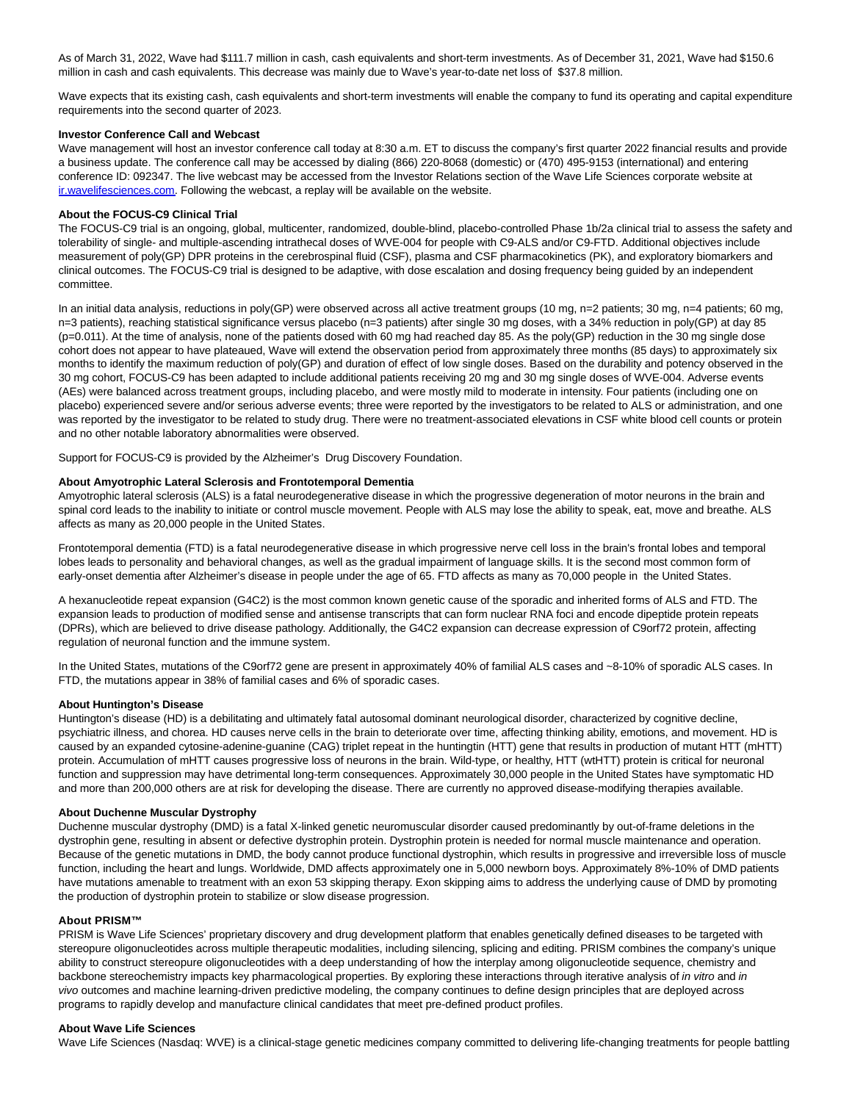As of March 31, 2022, Wave had \$111.7 million in cash, cash equivalents and short-term investments. As of December 31, 2021, Wave had \$150.6 million in cash and cash equivalents. This decrease was mainly due to Wave's year-to-date net loss of \$37.8 million.

Wave expects that its existing cash, cash equivalents and short-term investments will enable the company to fund its operating and capital expenditure requirements into the second quarter of 2023.

#### **Investor Conference Call and Webcast**

Wave management will host an investor conference call today at 8:30 a.m. ET to discuss the company's first quarter 2022 financial results and provide a business update. The conference call may be accessed by dialing (866) 220-8068 (domestic) or (470) 495-9153 (international) and entering conference ID: 092347. The live webcast may be accessed from the Investor Relations section of the Wave Life Sciences corporate website at [ir.wavelifesciences.com.](https://www.globenewswire.com/Tracker?data=yMKoUObYWvqb6zaF6v3Dpc7h2MpySOfWD_8qfOYIVGUHiEVvvNQT51Up2pVvXVMyOpbKKO8RnwGvBmVgBGukytWJKuJppUeNKbmJDNABAIw=) Following the webcast, a replay will be available on the website.

#### **About the FOCUS-C9 Clinical Trial**

The FOCUS-C9 trial is an ongoing, global, multicenter, randomized, double-blind, placebo-controlled Phase 1b/2a clinical trial to assess the safety and tolerability of single- and multiple-ascending intrathecal doses of WVE-004 for people with C9-ALS and/or C9-FTD. Additional objectives include measurement of poly(GP) DPR proteins in the cerebrospinal fluid (CSF), plasma and CSF pharmacokinetics (PK), and exploratory biomarkers and clinical outcomes. The FOCUS-C9 trial is designed to be adaptive, with dose escalation and dosing frequency being guided by an independent committee.

In an initial data analysis, reductions in poly(GP) were observed across all active treatment groups (10 mg, n=2 patients; 30 mg, n=4 patients; 60 mg, n=3 patients), reaching statistical significance versus placebo (n=3 patients) after single 30 mg doses, with a 34% reduction in poly(GP) at day 85 (p=0.011). At the time of analysis, none of the patients dosed with 60 mg had reached day 85. As the poly(GP) reduction in the 30 mg single dose cohort does not appear to have plateaued, Wave will extend the observation period from approximately three months (85 days) to approximately six months to identify the maximum reduction of poly(GP) and duration of effect of low single doses. Based on the durability and potency observed in the 30 mg cohort, FOCUS-C9 has been adapted to include additional patients receiving 20 mg and 30 mg single doses of WVE-004. Adverse events (AEs) were balanced across treatment groups, including placebo, and were mostly mild to moderate in intensity. Four patients (including one on placebo) experienced severe and/or serious adverse events; three were reported by the investigators to be related to ALS or administration, and one was reported by the investigator to be related to study drug. There were no treatment-associated elevations in CSF white blood cell counts or protein and no other notable laboratory abnormalities were observed.

Support for FOCUS-C9 is provided by the Alzheimer's Drug Discovery Foundation.

#### **About Amyotrophic Lateral Sclerosis and Frontotemporal Dementia**

Amyotrophic lateral sclerosis (ALS) is a fatal neurodegenerative disease in which the progressive degeneration of motor neurons in the brain and spinal cord leads to the inability to initiate or control muscle movement. People with ALS may lose the ability to speak, eat, move and breathe. ALS affects as many as 20,000 people in the United States.

Frontotemporal dementia (FTD) is a fatal neurodegenerative disease in which progressive nerve cell loss in the brain's frontal lobes and temporal lobes leads to personality and behavioral changes, as well as the gradual impairment of language skills. It is the second most common form of early-onset dementia after Alzheimer's disease in people under the age of 65. FTD affects as many as 70,000 people in the United States.

A hexanucleotide repeat expansion (G4C2) is the most common known genetic cause of the sporadic and inherited forms of ALS and FTD. The expansion leads to production of modified sense and antisense transcripts that can form nuclear RNA foci and encode dipeptide protein repeats (DPRs), which are believed to drive disease pathology. Additionally, the G4C2 expansion can decrease expression of C9orf72 protein, affecting regulation of neuronal function and the immune system.

In the United States, mutations of the C9orf72 gene are present in approximately 40% of familial ALS cases and ~8-10% of sporadic ALS cases. In FTD, the mutations appear in 38% of familial cases and 6% of sporadic cases.

#### **About Huntington's Disease**

Huntington's disease (HD) is a debilitating and ultimately fatal autosomal dominant neurological disorder, characterized by cognitive decline, psychiatric illness, and chorea. HD causes nerve cells in the brain to deteriorate over time, affecting thinking ability, emotions, and movement. HD is caused by an expanded cytosine-adenine-guanine (CAG) triplet repeat in the huntingtin (HTT) gene that results in production of mutant HTT (mHTT) protein. Accumulation of mHTT causes progressive loss of neurons in the brain. Wild-type, or healthy, HTT (wtHTT) protein is critical for neuronal function and suppression may have detrimental long-term consequences. Approximately 30,000 people in the United States have symptomatic HD and more than 200,000 others are at risk for developing the disease. There are currently no approved disease-modifying therapies available.

#### **About Duchenne Muscular Dystrophy**

Duchenne muscular dystrophy (DMD) is a fatal X-linked genetic neuromuscular disorder caused predominantly by out-of-frame deletions in the dystrophin gene, resulting in absent or defective dystrophin protein. Dystrophin protein is needed for normal muscle maintenance and operation. Because of the genetic mutations in DMD, the body cannot produce functional dystrophin, which results in progressive and irreversible loss of muscle function, including the heart and lungs. Worldwide, DMD affects approximately one in 5,000 newborn boys. Approximately 8%-10% of DMD patients have mutations amenable to treatment with an exon 53 skipping therapy. Exon skipping aims to address the underlying cause of DMD by promoting the production of dystrophin protein to stabilize or slow disease progression.

#### **About PRISM™**

PRISM is Wave Life Sciences' proprietary discovery and drug development platform that enables genetically defined diseases to be targeted with stereopure oligonucleotides across multiple therapeutic modalities, including silencing, splicing and editing. PRISM combines the company's unique ability to construct stereopure oligonucleotides with a deep understanding of how the interplay among oligonucleotide sequence, chemistry and backbone stereochemistry impacts key pharmacological properties. By exploring these interactions through iterative analysis of in vitro and in vivo outcomes and machine learning-driven predictive modeling, the company continues to define design principles that are deployed across programs to rapidly develop and manufacture clinical candidates that meet pre-defined product profiles.

#### **About Wave Life Sciences**

Wave Life Sciences (Nasdaq: WVE) is a clinical-stage genetic medicines company committed to delivering life-changing treatments for people battling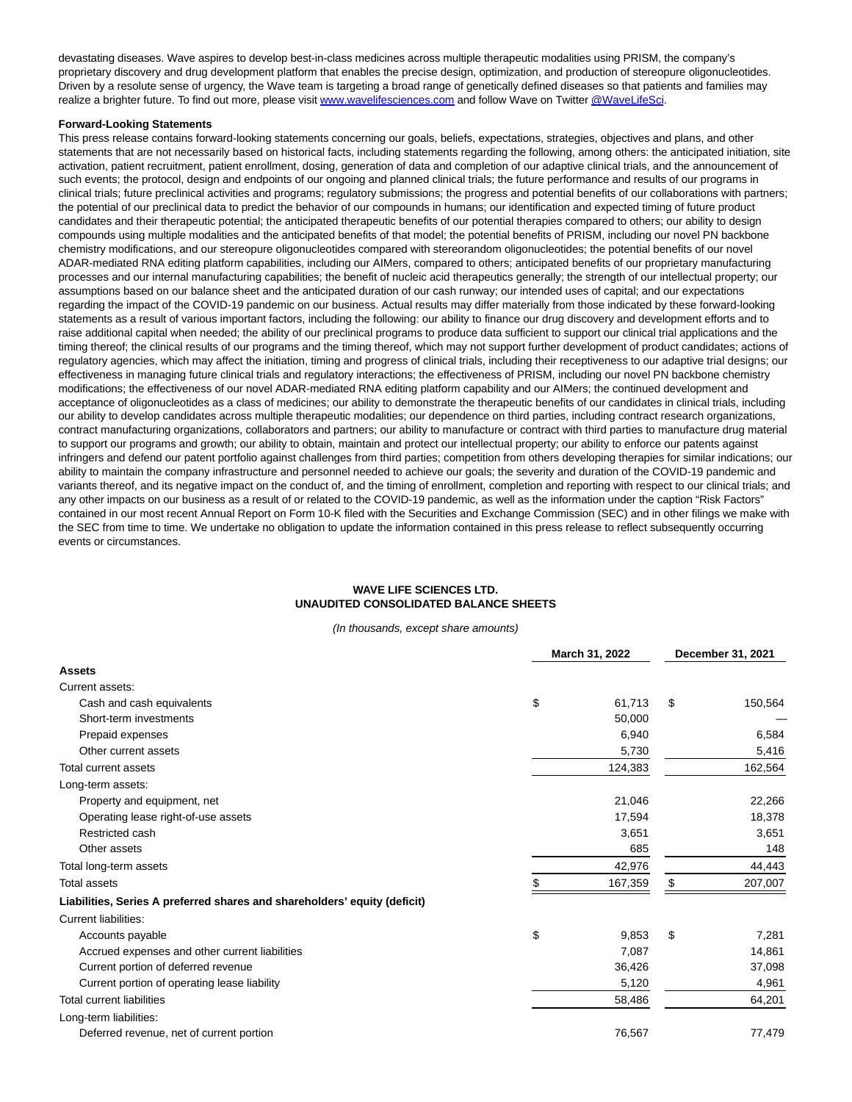devastating diseases. Wave aspires to develop best-in-class medicines across multiple therapeutic modalities using PRISM, the company's proprietary discovery and drug development platform that enables the precise design, optimization, and production of stereopure oligonucleotides. Driven by a resolute sense of urgency, the Wave team is targeting a broad range of genetically defined diseases so that patients and families may realize a brighter future. To find out more, please visi[t www.wavelifesciences.com a](https://www.globenewswire.com/Tracker?data=Oha523h6o12-5fsqt0MYUEhDpkn7SPB2dG-7q5f6_dhhZ2BjC0FpxqWW3jqM8dNfdUh9zgSl-Z_5NmvJlgY-GgPmuHpbJIiUa1o9937XcyE=)nd follow Wave on Twitte[r @WaveLifeSci.](https://www.globenewswire.com/Tracker?data=mk7C0JCVOCT_L3PCPAPAYuEpYIxBLphUIiXKm79ThpIG5gKQ9EUwUnq1fEcLtb-pDPkgbNFnV3mQCkzTeUqFmcJpj3r58o4NvhgLsFtcK-s=)

#### **Forward-Looking Statements**

This press release contains forward-looking statements concerning our goals, beliefs, expectations, strategies, objectives and plans, and other statements that are not necessarily based on historical facts, including statements regarding the following, among others: the anticipated initiation, site activation, patient recruitment, patient enrollment, dosing, generation of data and completion of our adaptive clinical trials, and the announcement of such events; the protocol, design and endpoints of our ongoing and planned clinical trials; the future performance and results of our programs in clinical trials; future preclinical activities and programs; regulatory submissions; the progress and potential benefits of our collaborations with partners; the potential of our preclinical data to predict the behavior of our compounds in humans; our identification and expected timing of future product candidates and their therapeutic potential; the anticipated therapeutic benefits of our potential therapies compared to others; our ability to design compounds using multiple modalities and the anticipated benefits of that model; the potential benefits of PRISM, including our novel PN backbone chemistry modifications, and our stereopure oligonucleotides compared with stereorandom oligonucleotides; the potential benefits of our novel ADAR-mediated RNA editing platform capabilities, including our AIMers, compared to others; anticipated benefits of our proprietary manufacturing processes and our internal manufacturing capabilities; the benefit of nucleic acid therapeutics generally; the strength of our intellectual property; our assumptions based on our balance sheet and the anticipated duration of our cash runway; our intended uses of capital; and our expectations regarding the impact of the COVID-19 pandemic on our business. Actual results may differ materially from those indicated by these forward-looking statements as a result of various important factors, including the following: our ability to finance our drug discovery and development efforts and to raise additional capital when needed; the ability of our preclinical programs to produce data sufficient to support our clinical trial applications and the timing thereof; the clinical results of our programs and the timing thereof, which may not support further development of product candidates; actions of regulatory agencies, which may affect the initiation, timing and progress of clinical trials, including their receptiveness to our adaptive trial designs; our effectiveness in managing future clinical trials and regulatory interactions; the effectiveness of PRISM, including our novel PN backbone chemistry modifications; the effectiveness of our novel ADAR-mediated RNA editing platform capability and our AIMers; the continued development and acceptance of oligonucleotides as a class of medicines; our ability to demonstrate the therapeutic benefits of our candidates in clinical trials, including our ability to develop candidates across multiple therapeutic modalities; our dependence on third parties, including contract research organizations, contract manufacturing organizations, collaborators and partners; our ability to manufacture or contract with third parties to manufacture drug material to support our programs and growth; our ability to obtain, maintain and protect our intellectual property; our ability to enforce our patents against infringers and defend our patent portfolio against challenges from third parties; competition from others developing therapies for similar indications; our ability to maintain the company infrastructure and personnel needed to achieve our goals; the severity and duration of the COVID-19 pandemic and variants thereof, and its negative impact on the conduct of, and the timing of enrollment, completion and reporting with respect to our clinical trials; and any other impacts on our business as a result of or related to the COVID-19 pandemic, as well as the information under the caption "Risk Factors" contained in our most recent Annual Report on Form 10-K filed with the Securities and Exchange Commission (SEC) and in other filings we make with the SEC from time to time. We undertake no obligation to update the information contained in this press release to reflect subsequently occurring events or circumstances.

# **WAVE LIFE SCIENCES LTD. UNAUDITED CONSOLIDATED BALANCE SHEETS**

(In thousands, except share amounts)

|                                                                           | March 31, 2022 |         | December 31, 2021 |         |
|---------------------------------------------------------------------------|----------------|---------|-------------------|---------|
| <b>Assets</b>                                                             |                |         |                   |         |
| Current assets:                                                           |                |         |                   |         |
| Cash and cash equivalents                                                 | \$             | 61.713  | \$                | 150,564 |
| Short-term investments                                                    |                | 50,000  |                   |         |
| Prepaid expenses                                                          |                | 6,940   |                   | 6,584   |
| Other current assets                                                      |                | 5,730   |                   | 5,416   |
| <b>Total current assets</b>                                               |                | 124,383 |                   | 162,564 |
| Long-term assets:                                                         |                |         |                   |         |
| Property and equipment, net                                               |                | 21,046  |                   | 22,266  |
| Operating lease right-of-use assets                                       |                | 17,594  |                   | 18,378  |
| Restricted cash                                                           |                | 3,651   |                   | 3,651   |
| Other assets                                                              |                | 685     |                   | 148     |
| Total long-term assets                                                    |                | 42,976  |                   | 44,443  |
| <b>Total assets</b>                                                       |                | 167,359 | S                 | 207,007 |
| Liabilities, Series A preferred shares and shareholders' equity (deficit) |                |         |                   |         |
| <b>Current liabilities:</b>                                               |                |         |                   |         |
| Accounts payable                                                          | \$             | 9,853   | \$                | 7,281   |
| Accrued expenses and other current liabilities                            |                | 7,087   |                   | 14,861  |
| Current portion of deferred revenue                                       |                | 36,426  |                   | 37,098  |
| Current portion of operating lease liability                              |                | 5,120   |                   | 4,961   |
| <b>Total current liabilities</b>                                          |                | 58,486  |                   | 64,201  |
| Long-term liabilities:                                                    |                |         |                   |         |
| Deferred revenue, net of current portion                                  |                | 76,567  |                   | 77,479  |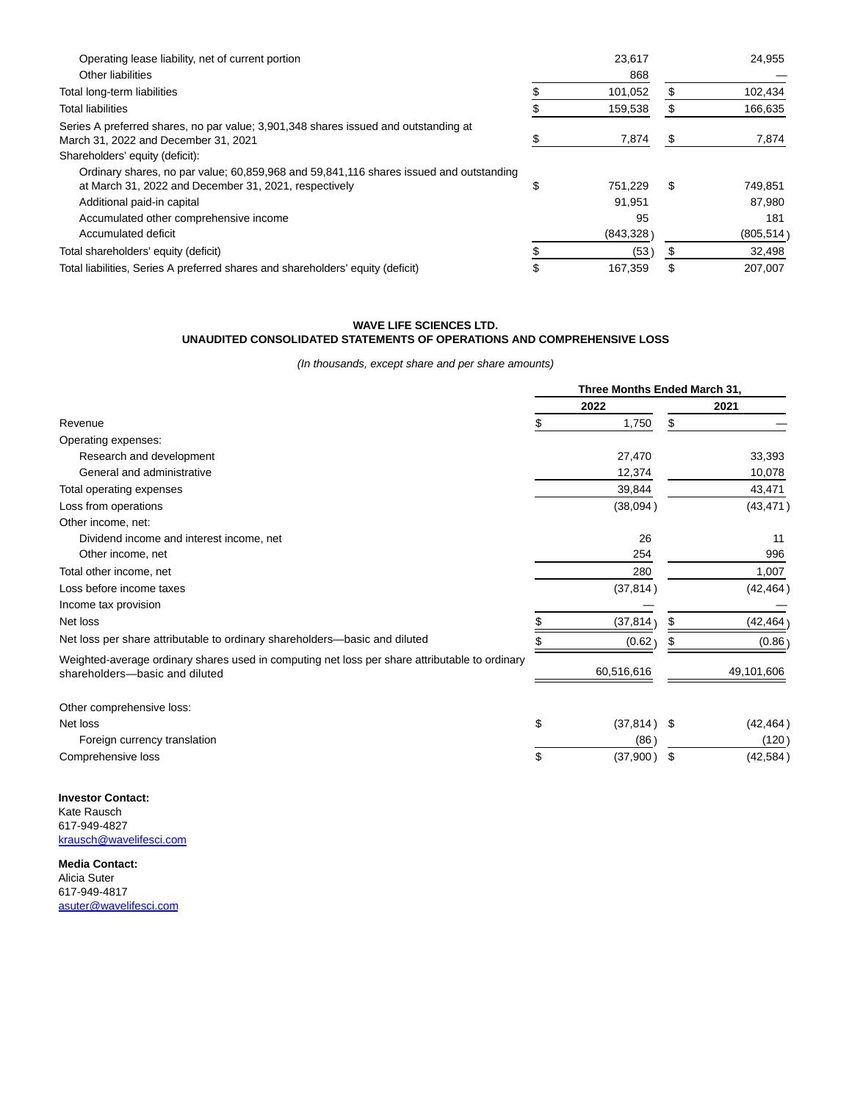| Operating lease liability, net of current portion                                                                                               | 23.617    |   | 24.955     |
|-------------------------------------------------------------------------------------------------------------------------------------------------|-----------|---|------------|
| Other liabilities                                                                                                                               | 868       |   |            |
| Total long-term liabilities                                                                                                                     | 101.052   |   | 102,434    |
| <b>Total liabilities</b>                                                                                                                        | 159,538   |   | 166,635    |
| Series A preferred shares, no par value; 3,901,348 shares issued and outstanding at<br>March 31, 2022 and December 31, 2021                     | 7,874     | S | 7,874      |
| Shareholders' equity (deficit):                                                                                                                 |           |   |            |
| Ordinary shares, no par value; 60,859,968 and 59,841,116 shares issued and outstanding<br>at March 31, 2022 and December 31, 2021, respectively | 751.229   | S | 749.851    |
| Additional paid-in capital                                                                                                                      | 91,951    |   | 87.980     |
| Accumulated other comprehensive income                                                                                                          | 95        |   | 181        |
| Accumulated deficit                                                                                                                             | (843,328) |   | (805, 514) |
| Total shareholders' equity (deficit)                                                                                                            | (53)      |   | 32,498     |
| Total liabilities, Series A preferred shares and shareholders' equity (deficit)                                                                 | 167.359   | S | 207.007    |

# **WAVE LIFE SCIENCES LTD. UNAUDITED CONSOLIDATED STATEMENTS OF OPERATIONS AND COMPREHENSIVE LOSS**

(In thousands, except share and per share amounts)

|                                                                                                                                  | Three Months Ended March 31, |               |    |            |
|----------------------------------------------------------------------------------------------------------------------------------|------------------------------|---------------|----|------------|
|                                                                                                                                  |                              | 2022          |    | 2021       |
| Revenue                                                                                                                          | \$                           | 1,750         | \$ |            |
| Operating expenses:                                                                                                              |                              |               |    |            |
| Research and development                                                                                                         |                              | 27,470        |    | 33,393     |
| General and administrative                                                                                                       |                              | 12,374        |    | 10,078     |
| Total operating expenses                                                                                                         |                              | 39,844        |    | 43,471     |
| Loss from operations                                                                                                             |                              | (38,094)      |    | (43, 471)  |
| Other income, net:                                                                                                               |                              |               |    |            |
| Dividend income and interest income, net                                                                                         |                              | 26            |    | 11         |
| Other income, net                                                                                                                |                              | 254           |    | 996        |
| Total other income, net                                                                                                          |                              | 280           |    | 1,007      |
| Loss before income taxes                                                                                                         |                              | (37, 814)     |    | (42, 464)  |
| Income tax provision                                                                                                             |                              |               |    |            |
| Net loss                                                                                                                         |                              | (37, 814)     | S  | (42, 464)  |
| Net loss per share attributable to ordinary shareholders—basic and diluted                                                       |                              | (0.62)        |    | (0.86)     |
| Weighted-average ordinary shares used in computing net loss per share attributable to ordinary<br>shareholders-basic and diluted |                              | 60,516,616    |    | 49,101,606 |
| Other comprehensive loss:                                                                                                        |                              |               |    |            |
| Net loss                                                                                                                         | \$                           | $(37,814)$ \$ |    | (42, 464)  |
| Foreign currency translation                                                                                                     |                              | (86           |    | (120)      |
| Comprehensive loss                                                                                                               | \$                           | (37,900)      | \$ | (42, 584)  |

**Investor Contact:** Kate Rausch 617-949-4827 [krausch@wavelifesci.com](https://www.globenewswire.com/Tracker?data=ZqkeEiiZOTq3b2NytmeMuS23ip4b0WsPqssfuOQhf-0lQAt21gDPumiRVtV7jSaUlJwcTI4s4_THzJNGRKW5G-EL1xtHCH1bHMoJnGsFjEM=)

**Media Contact:** Alicia Suter 617-949-4817 [asuter@wavelifesci.com](https://www.globenewswire.com/Tracker?data=t4-iYZfcvfkfhiT2aSArwFiV4mOJ1Ea90A4kFGmhpcUorJQYRL1C4UvSGvAXAje9tipxA1QYarQYMxL_Y5ABgO1h4MqS0shf0Svj-Z0QDYc=)